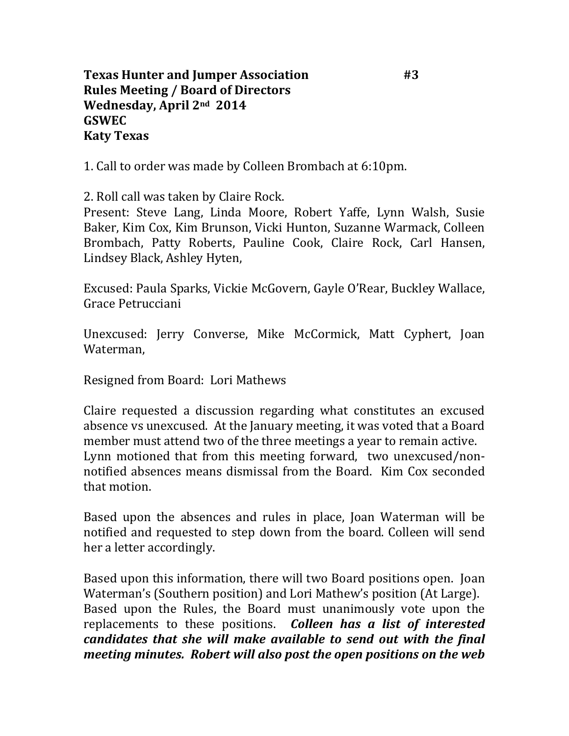1. Call to order was made by Colleen Brombach at 6:10pm.

2. Roll call was taken by Claire Rock.

Present: Steve Lang, Linda Moore, Robert Yaffe, Lynn Walsh, Susie Baker, Kim Cox, Kim Brunson, Vicki Hunton, Suzanne Warmack, Colleen Brombach, Patty Roberts, Pauline Cook, Claire Rock, Carl Hansen, Lindsey Black, Ashley Hyten,

Excused: Paula Sparks, Vickie McGovern, Gayle O'Rear, Buckley Wallace, Grace Petrucciani

Unexcused: Jerry Converse, Mike McCormick, Matt Cyphert, Joan Waterman,

Resigned from Board: Lori Mathews

Claire requested a discussion regarding what constitutes an excused absence vs unexcused. At the January meeting, it was voted that a Board member must attend two of the three meetings a year to remain active. Lynn motioned that from this meeting forward, two unexcused/nonnotified absences means dismissal from the Board. Kim Cox seconded that motion.

Based upon the absences and rules in place, Joan Waterman will be notified and requested to step down from the board. Colleen will send her a letter accordingly.

Based upon this information, there will two Board positions open. Joan Waterman's (Southern position) and Lori Mathew's position (At Large). Based upon the Rules, the Board must unanimously vote upon the replacements to these positions. *Colleen has a list of interested candidates that she will make available to send out with the final meeting minutes. Robert will also post the open positions on the web*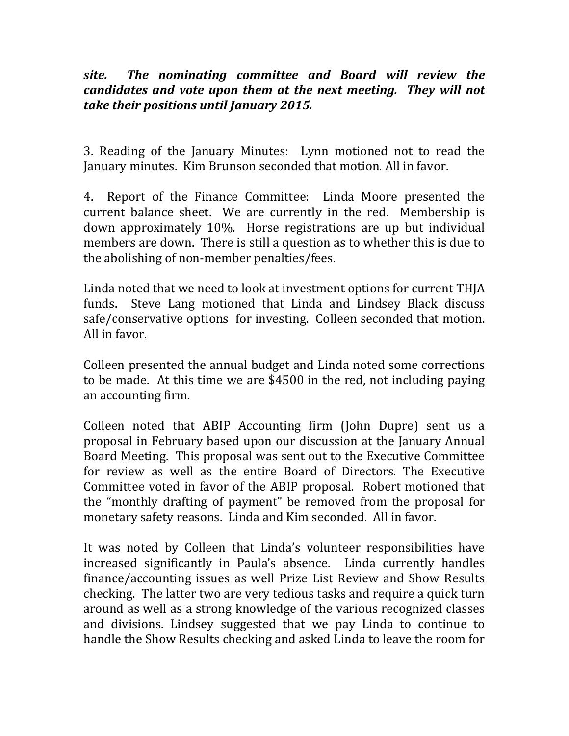*site. The nominating committee and Board will review the candidates and vote upon them at the next meeting. They will not take their positions until January 2015.*

3. Reading of the January Minutes: Lynn motioned not to read the January minutes. Kim Brunson seconded that motion. All in favor.

4. Report of the Finance Committee: Linda Moore presented the current balance sheet. We are currently in the red. Membership is down approximately 10%. Horse registrations are up but individual members are down. There is still a question as to whether this is due to the abolishing of non-member penalties/fees.

Linda noted that we need to look at investment options for current THJA funds. Steve Lang motioned that Linda and Lindsey Black discuss safe/conservative options for investing. Colleen seconded that motion. All in favor.

Colleen presented the annual budget and Linda noted some corrections to be made. At this time we are \$4500 in the red, not including paying an accounting firm.

Colleen noted that ABIP Accounting firm (John Dupre) sent us a proposal in February based upon our discussion at the January Annual Board Meeting. This proposal was sent out to the Executive Committee for review as well as the entire Board of Directors. The Executive Committee voted in favor of the ABIP proposal. Robert motioned that the "monthly drafting of payment" be removed from the proposal for monetary safety reasons. Linda and Kim seconded. All in favor.

It was noted by Colleen that Linda's volunteer responsibilities have increased significantly in Paula's absence. Linda currently handles finance/accounting issues as well Prize List Review and Show Results checking. The latter two are very tedious tasks and require a quick turn around as well as a strong knowledge of the various recognized classes and divisions. Lindsey suggested that we pay Linda to continue to handle the Show Results checking and asked Linda to leave the room for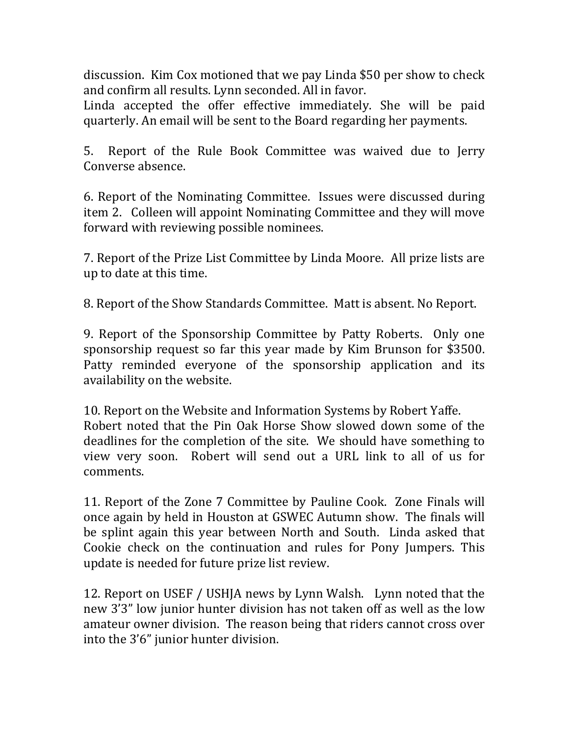discussion. Kim Cox motioned that we pay Linda \$50 per show to check and confirm all results. Lynn seconded. All in favor.

Linda accepted the offer effective immediately. She will be paid quarterly. An email will be sent to the Board regarding her payments.

5. Report of the Rule Book Committee was waived due to Jerry Converse absence.

6. Report of the Nominating Committee. Issues were discussed during item 2. Colleen will appoint Nominating Committee and they will move forward with reviewing possible nominees.

7. Report of the Prize List Committee by Linda Moore. All prize lists are up to date at this time.

8. Report of the Show Standards Committee. Matt is absent. No Report.

9. Report of the Sponsorship Committee by Patty Roberts. Only one sponsorship request so far this year made by Kim Brunson for \$3500. Patty reminded everyone of the sponsorship application and its availability on the website.

10. Report on the Website and Information Systems by Robert Yaffe. Robert noted that the Pin Oak Horse Show slowed down some of the deadlines for the completion of the site. We should have something to view very soon. Robert will send out a URL link to all of us for comments.

11. Report of the Zone 7 Committee by Pauline Cook. Zone Finals will once again by held in Houston at GSWEC Autumn show. The finals will be splint again this year between North and South. Linda asked that Cookie check on the continuation and rules for Pony Jumpers. This update is needed for future prize list review.

12. Report on USEF / USHJA news by Lynn Walsh. Lynn noted that the new 3'3" low junior hunter division has not taken off as well as the low amateur owner division. The reason being that riders cannot cross over into the 3'6" junior hunter division.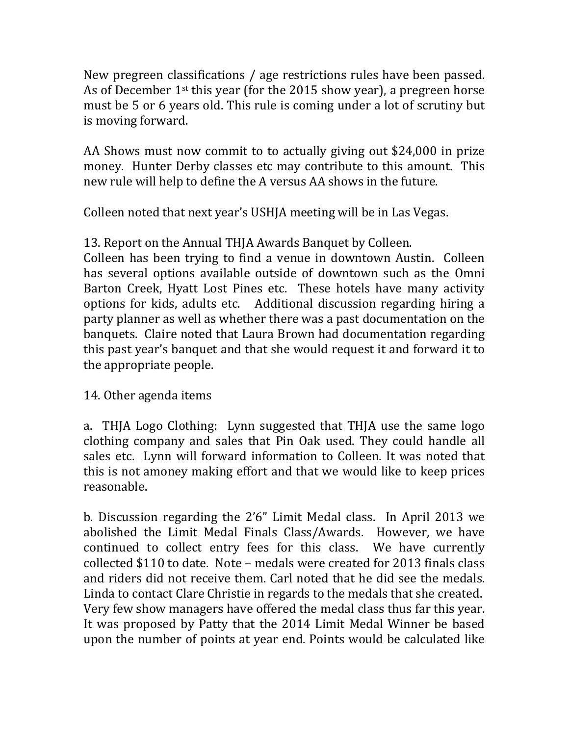New pregreen classifications / age restrictions rules have been passed. As of December  $1<sup>st</sup>$  this year (for the 2015 show year), a pregreen horse must be 5 or 6 years old. This rule is coming under a lot of scrutiny but is moving forward.

AA Shows must now commit to to actually giving out \$24,000 in prize money. Hunter Derby classes etc may contribute to this amount. This new rule will help to define the A versus AA shows in the future.

Colleen noted that next year's USHJA meeting will be in Las Vegas.

13. Report on the Annual THJA Awards Banquet by Colleen.

Colleen has been trying to find a venue in downtown Austin. Colleen has several options available outside of downtown such as the Omni Barton Creek, Hyatt Lost Pines etc. These hotels have many activity options for kids, adults etc. Additional discussion regarding hiring a party planner as well as whether there was a past documentation on the banquets. Claire noted that Laura Brown had documentation regarding this past year's banquet and that she would request it and forward it to the appropriate people.

14. Other agenda items

a. THJA Logo Clothing: Lynn suggested that THJA use the same logo clothing company and sales that Pin Oak used. They could handle all sales etc. Lynn will forward information to Colleen. It was noted that this is not amoney making effort and that we would like to keep prices reasonable.

b. Discussion regarding the 2'6" Limit Medal class. In April 2013 we abolished the Limit Medal Finals Class/Awards. However, we have continued to collect entry fees for this class. We have currently collected \$110 to date. Note – medals were created for 2013 finals class and riders did not receive them. Carl noted that he did see the medals. Linda to contact Clare Christie in regards to the medals that she created. Very few show managers have offered the medal class thus far this year. It was proposed by Patty that the 2014 Limit Medal Winner be based upon the number of points at year end. Points would be calculated like